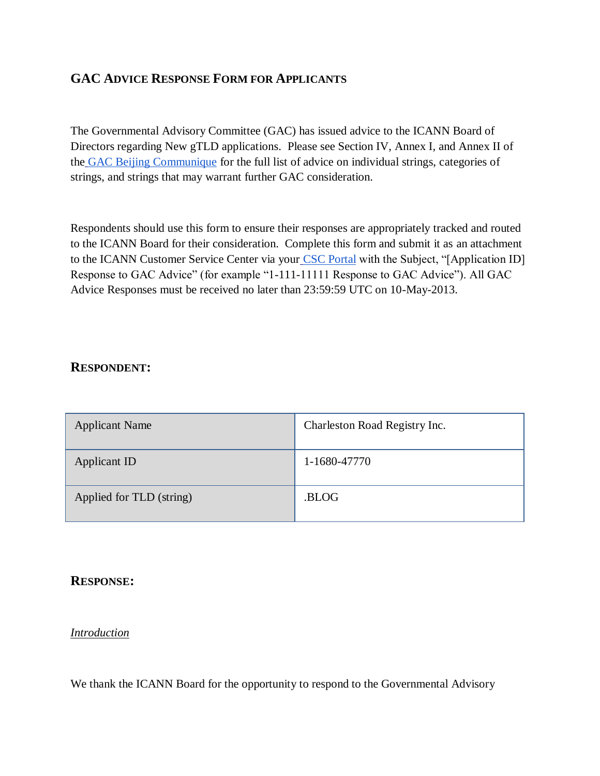# **GAC ADVICE RESPONSE FORM FOR APPLICANTS**

The Governmental Advisory Committee (GAC) has issued advice to the ICANN Board of Directors regarding New gTLD applications. Please see Section IV, Annex I, and Annex II of th[e](http://www.icann.org/en/news/correspondence/gac-to-board-18apr13-en.pdf) [GAC Beijing Communique](http://www.icann.org/en/news/correspondence/gac-to-board-18apr13-en.pdf) for the full list of advice on individual strings, categories of strings, and strings that may warrant further GAC consideration.

Respondents should use this form to ensure their responses are appropriately tracked and routed to the ICANN Board for their consideration. Complete this form and submit it as an attachment to the ICANN Customer Service Center via your [CSC Portal](https://myicann.secure.force.com/) with the Subject, "[Application ID] Response to GAC Advice" (for example "1-111-11111 Response to GAC Advice"). All GAC Advice Responses must be received no later than 23:59:59 UTC on 10-May-2013.

## **RESPONDENT:**

| <b>Applicant Name</b>    | Charleston Road Registry Inc. |
|--------------------------|-------------------------------|
| Applicant ID             | 1-1680-47770                  |
| Applied for TLD (string) | .BLOG                         |

## **RESPONSE:**

#### *Introduction*

We thank the ICANN Board for the opportunity to respond to the Governmental Advisory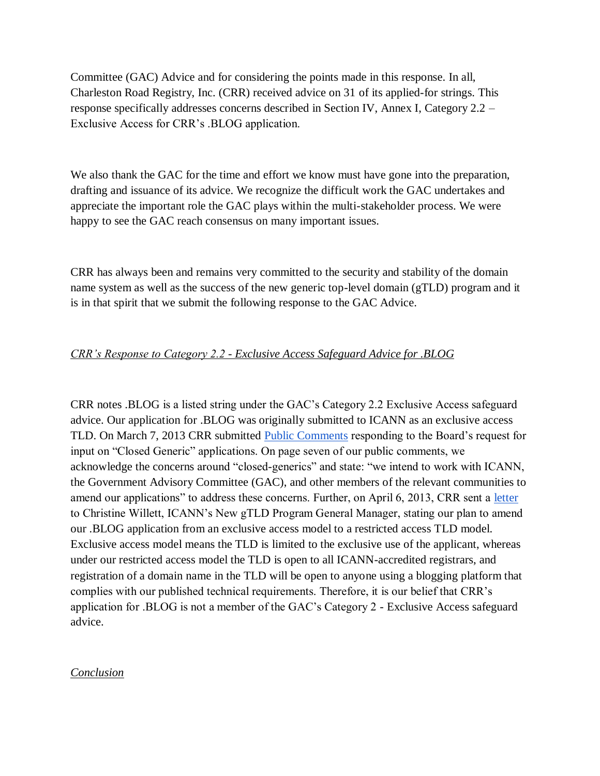Committee (GAC) Advice and for considering the points made in this response. In all, Charleston Road Registry, Inc. (CRR) received advice on 31 of its applied-for strings. This response specifically addresses concerns described in Section IV, Annex I, Category 2.2 – Exclusive Access for CRR's .BLOG application.

We also thank the GAC for the time and effort we know must have gone into the preparation, drafting and issuance of its advice. We recognize the difficult work the GAC undertakes and appreciate the important role the GAC plays within the multi-stakeholder process. We were happy to see the GAC reach consensus on many important issues.

CRR has always been and remains very committed to the security and stability of the domain name system as well as the success of the new generic top-level domain (gTLD) program and it is in that spirit that we submit the following response to the GAC Advice.

## *CRR's Response to Category 2.2 - Exclusive Access Safeguard Advice for .BLOG*

CRR notes .BLOG is a listed string under the GAC's Category 2.2 Exclusive Access safeguard advice. Our application for .BLOG was originally submitted to ICANN as an exclusive access TLD. On March 7, 2013 CRR submitted **Public Comments** responding to the Board's request for input on "Closed Generic" applications. On page seven of our public comments, we acknowledge the concerns around "closed-generics" and state: "we intend to work with ICANN, the Government Advisory Committee (GAC), and other members of the relevant communities to amend our applications" to address these concerns. Further, on April 6, 2013, CRR sent a [letter](http://www.icann.org/en/news/correspondence/falvey-to-willett-06apr13-en) to Christine Willett, ICANN's New gTLD Program General Manager, stating our plan to amend our .BLOG application from an exclusive access model to a restricted access TLD model. Exclusive access model means the TLD is limited to the exclusive use of the applicant, whereas under our restricted access model the TLD is open to all ICANN-accredited registrars, and registration of a domain name in the TLD will be open to anyone using a blogging platform that complies with our published technical requirements. Therefore, it is our belief that CRR's application for .BLOG is not a member of the GAC's Category 2 - Exclusive Access safeguard advice.

#### *Conclusion*